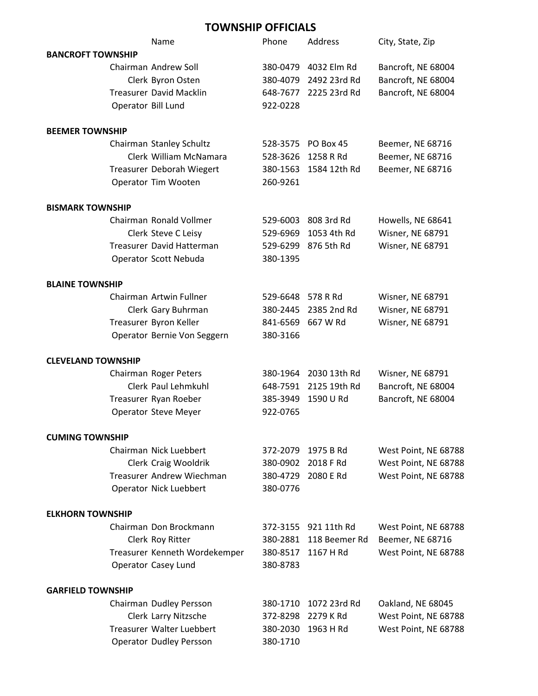## **TOWNSHIP OFFICIALS**

|                           | Name                             | Phone    | Address       | City, State, Zip        |
|---------------------------|----------------------------------|----------|---------------|-------------------------|
| <b>BANCROFT TOWNSHIP</b>  |                                  |          |               |                         |
|                           | Chairman Andrew Soll             | 380-0479 | 4032 Elm Rd   | Bancroft, NE 68004      |
|                           | Clerk Byron Osten                | 380-4079 | 2492 23rd Rd  | Bancroft, NE 68004      |
|                           | <b>Treasurer David Macklin</b>   | 648-7677 | 2225 23rd Rd  | Bancroft, NE 68004      |
| Operator Bill Lund        |                                  | 922-0228 |               |                         |
| <b>BEEMER TOWNSHIP</b>    |                                  |          |               |                         |
|                           | Chairman Stanley Schultz         | 528-3575 | PO Box 45     | Beemer, NE 68716        |
|                           | Clerk William McNamara           | 528-3626 | 1258 R Rd     | Beemer, NE 68716        |
|                           | Treasurer Deborah Wiegert        | 380-1563 | 1584 12th Rd  | Beemer, NE 68716        |
|                           | Operator Tim Wooten              | 260-9261 |               |                         |
| <b>BISMARK TOWNSHIP</b>   |                                  |          |               |                         |
|                           | Chairman Ronald Vollmer          | 529-6003 | 808 3rd Rd    | Howells, NE 68641       |
|                           | Clerk Steve C Leisy              | 529-6969 | 1053 4th Rd   | <b>Wisner, NE 68791</b> |
|                           | <b>Treasurer David Hatterman</b> | 529-6299 | 876 5th Rd    | Wisner, NE 68791        |
|                           |                                  | 380-1395 |               |                         |
|                           | Operator Scott Nebuda            |          |               |                         |
| <b>BLAINE TOWNSHIP</b>    |                                  |          |               |                         |
|                           | Chairman Artwin Fullner          | 529-6648 | 578 R Rd      | Wisner, NE 68791        |
|                           | Clerk Gary Buhrman               | 380-2445 | 2385 2nd Rd   | <b>Wisner, NE 68791</b> |
|                           | Treasurer Byron Keller           | 841-6569 | 667 W Rd      | <b>Wisner, NE 68791</b> |
|                           | Operator Bernie Von Seggern      | 380-3166 |               |                         |
| <b>CLEVELAND TOWNSHIP</b> |                                  |          |               |                         |
|                           | Chairman Roger Peters            | 380-1964 | 2030 13th Rd  | Wisner, NE 68791        |
|                           | Clerk Paul Lehmkuhl              | 648-7591 | 2125 19th Rd  | Bancroft, NE 68004      |
|                           | Treasurer Ryan Roeber            | 385-3949 | 1590 U Rd     | Bancroft, NE 68004      |
|                           | <b>Operator Steve Meyer</b>      | 922-0765 |               |                         |
|                           |                                  |          |               |                         |
| <b>CUMING TOWNSHIP</b>    |                                  |          |               |                         |
|                           | Chairman Nick Luebbert           | 372-2079 | 1975 B Rd     | West Point, NE 68788    |
|                           | Clerk Craig Wooldrik             | 380-0902 | 2018 F Rd     | West Point, NE 68788    |
|                           | Treasurer Andrew Wiechman        | 380-4729 | 2080 E Rd     | West Point, NE 68788    |
|                           | <b>Operator Nick Luebbert</b>    | 380-0776 |               |                         |
| <b>ELKHORN TOWNSHIP</b>   |                                  |          |               |                         |
|                           | Chairman Don Brockmann           | 372-3155 | 921 11th Rd   | West Point, NE 68788    |
|                           | Clerk Roy Ritter                 | 380-2881 | 118 Beemer Rd | Beemer, NE 68716        |
|                           | Treasurer Kenneth Wordekemper    | 380-8517 | 1167 H Rd     | West Point, NE 68788    |
|                           | Operator Casey Lund              | 380-8783 |               |                         |
| <b>GARFIELD TOWNSHIP</b>  |                                  |          |               |                         |
|                           | Chairman Dudley Persson          | 380-1710 | 1072 23rd Rd  | Oakland, NE 68045       |
|                           | Clerk Larry Nitzsche             | 372-8298 | 2279 K Rd     | West Point, NE 68788    |
|                           | Treasurer Walter Luebbert        | 380-2030 | 1963 H Rd     | West Point, NE 68788    |
|                           | <b>Operator Dudley Persson</b>   | 380-1710 |               |                         |
|                           |                                  |          |               |                         |